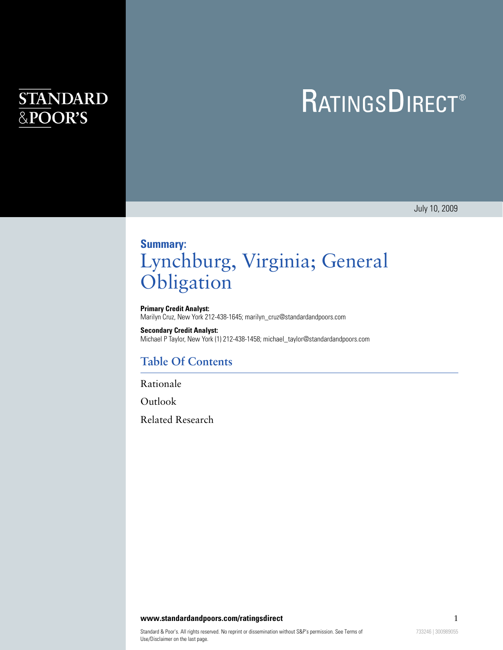# **STANDARD** &POOR'S

# **RATINGSDIRECT®**

July 10, 2009

## **Summary:** Lynchburg, Virginia; General **Obligation**

**Primary Credit Analyst:** Marilyn Cruz, New York 212-438-1645; marilyn\_cruz@standardandpoors.com

**Secondary Credit Analyst:** Michael P Taylor, New York (1) 212-438-1458; michael\_taylor@standardandpoors.com

#### **Table Of Contents**

[Rationale](#page-1-0)

[Outlook](#page-2-0)

[Related Research](#page-3-0)

**www.standardandpoors.com/ratingsdirect** 1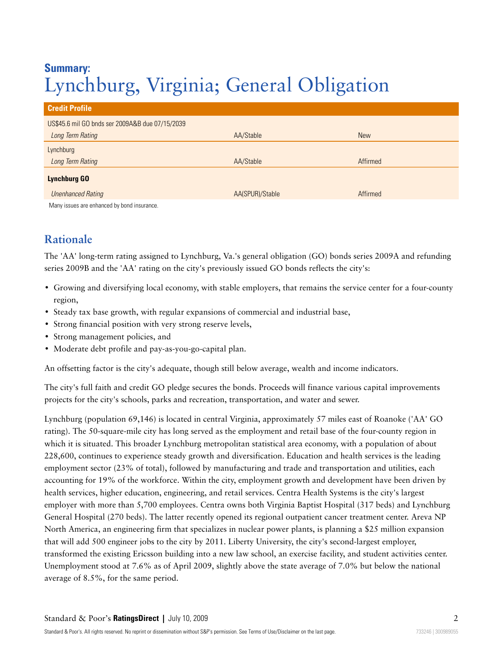## **Summary:** Lynchburg, Virginia; General Obligation

| <b>Credit Profile</b>                           |                 |            |
|-------------------------------------------------|-----------------|------------|
| US\$45.6 mil GO bnds ser 2009A&B due 07/15/2039 |                 |            |
| Long Term Rating                                | AA/Stable       | <b>New</b> |
| Lynchburg                                       |                 |            |
| Long Term Rating                                | AA/Stable       | Affirmed   |
| <b>Lynchburg GO</b>                             |                 |            |
| <b>Unenhanced Rating</b>                        | AA(SPUR)/Stable | Affirmed   |
| Many issues are enhanced by bond insurance.     |                 |            |

### <span id="page-1-0"></span>**Rationale**

The 'AA' long-term rating assigned to Lynchburg, Va.'s general obligation (GO) bonds series 2009A and refunding series 2009B and the 'AA' rating on the city's previously issued GO bonds reflects the city's:

- Growing and diversifying local economy, with stable employers, that remains the service center for a four-county region,
- Steady tax base growth, with regular expansions of commercial and industrial base,
- Strong financial position with very strong reserve levels,
- Strong management policies, and
- Moderate debt profile and pay-as-you-go-capital plan.

An offsetting factor is the city's adequate, though still below average, wealth and income indicators.

The city's full faith and credit GO pledge secures the bonds. Proceeds will finance various capital improvements projects for the city's schools, parks and recreation, transportation, and water and sewer.

Lynchburg (population 69,146) is located in central Virginia, approximately 57 miles east of Roanoke ('AA' GO rating). The 50-square-mile city has long served as the employment and retail base of the four-county region in which it is situated. This broader Lynchburg metropolitan statistical area economy, with a population of about 228,600, continues to experience steady growth and diversification. Education and health services is the leading employment sector (23% of total), followed by manufacturing and trade and transportation and utilities, each accounting for 19% of the workforce. Within the city, employment growth and development have been driven by health services, higher education, engineering, and retail services. Centra Health Systems is the city's largest employer with more than 5,700 employees. Centra owns both Virginia Baptist Hospital (317 beds) and Lynchburg General Hospital (270 beds). The latter recently opened its regional outpatient cancer treatment center. Areva NP North America, an engineering firm that specializes in nuclear power plants, is planning a \$25 million expansion that will add 500 engineer jobs to the city by 2011. Liberty University, the city's second-largest employer, transformed the existing Ericsson building into a new law school, an exercise facility, and student activities center. Unemployment stood at 7.6% as of April 2009, slightly above the state average of 7.0% but below the national average of 8.5%, for the same period.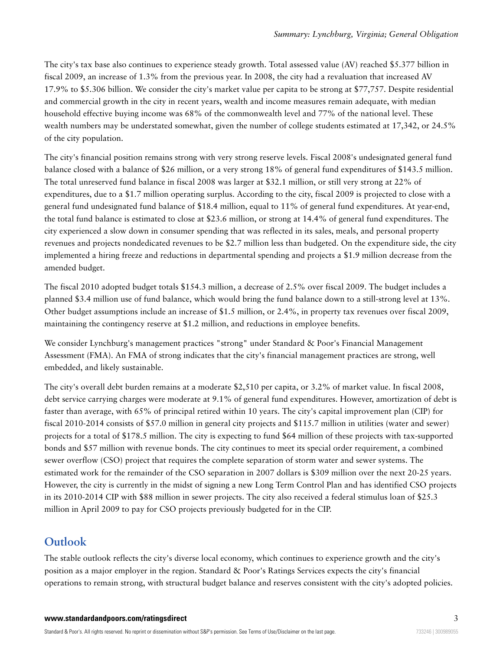The city's tax base also continues to experience steady growth. Total assessed value (AV) reached \$5.377 billion in fiscal 2009, an increase of 1.3% from the previous year. In 2008, the city had a revaluation that increased AV 17.9% to \$5.306 billion. We consider the city's market value per capita to be strong at \$77,757. Despite residential and commercial growth in the city in recent years, wealth and income measures remain adequate, with median household effective buying income was 68% of the commonwealth level and 77% of the national level. These wealth numbers may be understated somewhat, given the number of college students estimated at 17,342, or 24.5% of the city population.

The city's financial position remains strong with very strong reserve levels. Fiscal 2008's undesignated general fund balance closed with a balance of \$26 million, or a very strong 18% of general fund expenditures of \$143.5 million. The total unreserved fund balance in fiscal 2008 was larger at \$32.1 million, or still very strong at 22% of expenditures, due to a \$1.7 million operating surplus. According to the city, fiscal 2009 is projected to close with a general fund undesignated fund balance of \$18.4 million, equal to 11% of general fund expenditures. At year-end, the total fund balance is estimated to close at \$23.6 million, or strong at 14.4% of general fund expenditures. The city experienced a slow down in consumer spending that was reflected in its sales, meals, and personal property revenues and projects nondedicated revenues to be \$2.7 million less than budgeted. On the expenditure side, the city implemented a hiring freeze and reductions in departmental spending and projects a \$1.9 million decrease from the amended budget.

The fiscal 2010 adopted budget totals \$154.3 million, a decrease of 2.5% over fiscal 2009. The budget includes a planned \$3.4 million use of fund balance, which would bring the fund balance down to a still-strong level at 13%. Other budget assumptions include an increase of \$1.5 million, or 2.4%, in property tax revenues over fiscal 2009, maintaining the contingency reserve at \$1.2 million, and reductions in employee benefits.

We consider Lynchburg's management practices "strong" under Standard & Poor's Financial Management Assessment (FMA). An FMA of strong indicates that the city's financial management practices are strong, well embedded, and likely sustainable.

The city's overall debt burden remains at a moderate \$2,510 per capita, or 3.2% of market value. In fiscal 2008, debt service carrying charges were moderate at 9.1% of general fund expenditures. However, amortization of debt is faster than average, with 65% of principal retired within 10 years. The city's capital improvement plan (CIP) for fiscal 2010-2014 consists of \$57.0 million in general city projects and \$115.7 million in utilities (water and sewer) projects for a total of \$178.5 million. The city is expecting to fund \$64 million of these projects with tax-supported bonds and \$57 million with revenue bonds. The city continues to meet its special order requirement, a combined sewer overflow (CSO) project that requires the complete separation of storm water and sewer systems. The estimated work for the remainder of the CSO separation in 2007 dollars is \$309 million over the next 20-25 years. However, the city is currently in the midst of signing a new Long Term Control Plan and has identified CSO projects in its 2010-2014 CIP with \$88 million in sewer projects. The city also received a federal stimulus loan of \$25.3 million in April 2009 to pay for CSO projects previously budgeted for in the CIP.

#### <span id="page-2-0"></span>**Outlook**

The stable outlook reflects the city's diverse local economy, which continues to experience growth and the city's position as a major employer in the region. Standard & Poor's Ratings Services expects the city's financial operations to remain strong, with structural budget balance and reserves consistent with the city's adopted policies.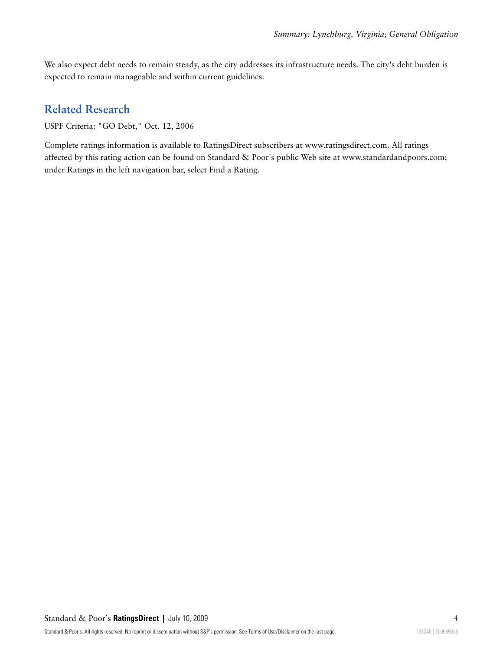We also expect debt needs to remain steady, as the city addresses its infrastructure needs. The city's debt burden is expected to remain manageable and within current guidelines.

#### <span id="page-3-0"></span>**Related Research**

USPF Criteria: "GO Debt," Oct. 12, 2006

Complete ratings information is available to RatingsDirect subscribers at www.ratingsdirect.com. All ratings affected by this rating action can be found on Standard & Poor's public Web site at www.standardandpoors.com; under Ratings in the left navigation bar, select Find a Rating.